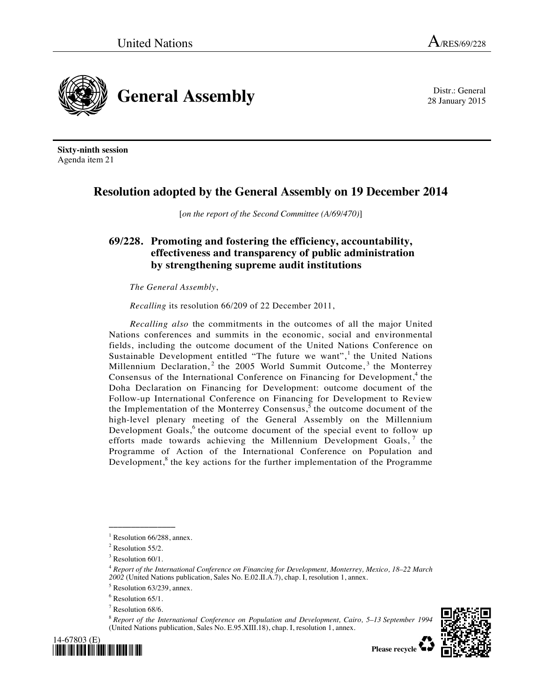28 January 2015



**Sixty-ninth session**  Agenda item 21

## **Resolution adopted by the General Assembly on 19 December 2014**

[*on the report of the Second Committee (A/69/470)*]

## **69/228. Promoting and fostering the efficiency, accountability, effectiveness and transparency of public administration by strengthening supreme audit institutions**

*The General Assembly*,

*Recalling* its resolution 66/209 of 22 December 2011,

*Recalling also* the commitments in the outcomes of all the major United Nations conferences and summits in the economic, social and environmental fields, including the outcome document of the United Nations Conference on Sustainable Development entitled "The future we want",<sup>1</sup> the United Nations Millennium Declaration,<sup>2</sup> the 2005 World Summit Outcome,<sup>3</sup> the Monterrey Consensus of the International Conference on Financing for Development,<sup>4</sup> the Doha Declaration on Financing for Development: outcome document of the Follow-up International Conference on Financing for Development to Review the Implementation of the Monterrey Consensus,  $\overline{s}$  the outcome document of the high-level plenary meeting of the General Assembly on the Millennium Development Goals,<sup>6</sup> the outcome document of the special event to follow up efforts made towards achieving the Millennium Development Goals,  $<sup>7</sup>$  the</sup> Programme of Action of the International Conference on Population and Development,<sup>8</sup> the key actions for the further implementation of the Programme

**\_\_\_\_\_\_\_\_\_\_\_\_\_\_\_** 

<sup>8</sup>  *Report of the International Conference on Population and Development, Cairo, 5–13 September 1994*  (United Nations publication, Sales No. E.95.XIII.18), chap. I, resolution 1, annex.



<sup>&</sup>lt;sup>1</sup> Resolution 66/288, annex.

 $2$  Resolution 55/2.

 $3$  Resolution 60/1.

<sup>4</sup>  *Report of the International Conference on Financing for Development, Monterrey, Mexico, 18–22 March*  2002 (United Nations publication, Sales No. E.02.II.A.7), chap. I, resolution 1, annex.

 $<sup>5</sup>$  Resolution 63/239, annex.</sup>

<sup>&</sup>lt;sup>6</sup> Resolution 65/1.

<sup>7</sup> Resolution 68/6.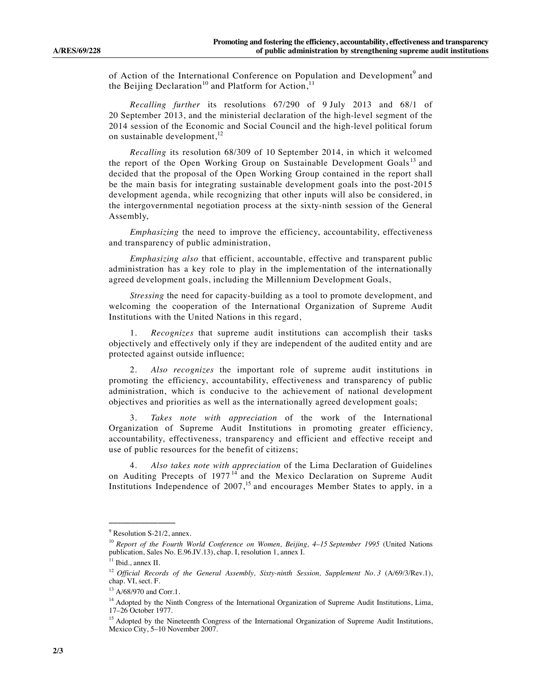of Action of the International Conference on Population and Development<sup>9</sup> and the Beijing Declaration<sup>10</sup> and Platform for Action,<sup>11</sup>

*Recalling further* its resolutions 67/290 of 9 July 2013 and 68/1 of 20 September 2013, and the ministerial declaration of the high-level segment of the 2014 session of the Economic and Social Council and the high-level political forum on sustainable development, $^{12}$ 

*Recalling* its resolution 68/309 of 10 September 2014, in which it welcomed the report of the Open Working Group on Sustainable Development Goals<sup>13</sup> and decided that the proposal of the Open Working Group contained in the report shall be the main basis for integrating sustainable development goals into the post-2015 development agenda, while recognizing that other inputs will also be considered, in the intergovernmental negotiation process at the sixty-ninth session of the General Assembly,

*Emphasizing* the need to improve the efficiency, accountability, effectiveness and transparency of public administration,

*Emphasizing also* that efficient, accountable, effective and transparent public administration has a key role to play in the implementation of the internationally agreed development goals, including the Millennium Development Goals,

*Stressing* the need for capacity-building as a tool to promote development, and welcoming the cooperation of the International Organization of Supreme Audit Institutions with the United Nations in this regard,

 1. *Recognizes* that supreme audit institutions can accomplish their tasks objectively and effectively only if they are independent of the audited entity and are protected against outside influence;

 2. *Also recognizes* the important role of supreme audit institutions in promoting the efficiency, accountability, effectiveness and transparency of public administration, which is conducive to the achievement of national development objectives and priorities as well as the internationally agreed development goals;

 3. *Takes note with appreciation* of the work of the International Organization of Supreme Audit Institutions in promoting greater efficiency, accountability, effectiveness, transparency and efficient and effective receipt and use of public resources for the benefit of citizens;

 4. *Also takes note with appreciation* of the Lima Declaration of Guidelines on Auditing Precepts of  $1977<sup>14</sup>$  and the Mexico Declaration on Supreme Audit Institutions Independence of 2007,<sup>15</sup> and encourages Member States to apply, in a

**\_\_\_\_\_\_\_\_\_\_\_\_\_\_\_** 

<sup>&</sup>lt;sup>9</sup> Resolution S-21/2, annex.

<sup>&</sup>lt;sup>10</sup> Report of the Fourth World Conference on Women, Beijing, 4–15 September 1995 (United Nations publication, Sales No. E.96.IV.13), chap. I, resolution 1, annex I.<br><sup>11</sup> Ibid., annex II.

<sup>12</sup> *Official Records of the General Assembly, Sixty-ninth Session, Supplement No. 3* (A/69/3/Rev.1), chap. VI, sect. F.

 $^{13}$  A/68/970 and Corr.1.

<sup>&</sup>lt;sup>14</sup> Adopted by the Ninth Congress of the International Organization of Supreme Audit Institutions, Lima, 17–26 October 1977.

<sup>&</sup>lt;sup>15</sup> Adopted by the Nineteenth Congress of the International Organization of Supreme Audit Institutions, Mexico City, 5-10 November 2007.